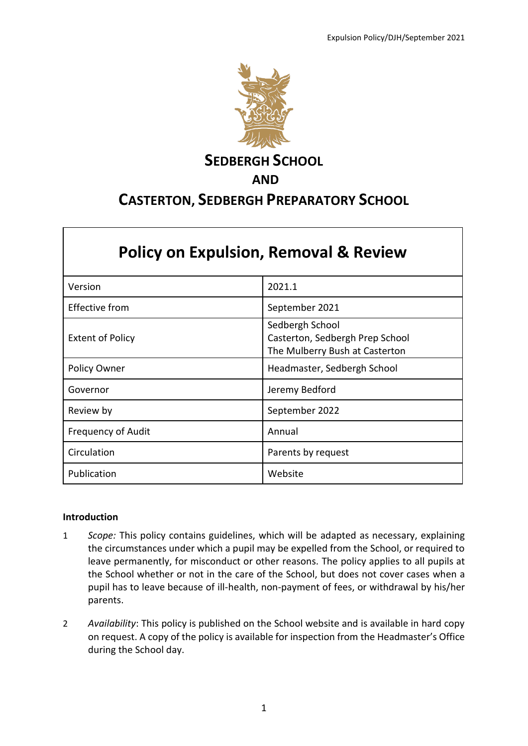

## **SEDBERGH SCHOOL**

## **AND**

# **CASTERTON, SEDBERGH PREPARATORY SCHOOL**

| <b>Policy on Expulsion, Removal &amp; Review</b> |                                                                                      |
|--------------------------------------------------|--------------------------------------------------------------------------------------|
| Version                                          | 2021.1                                                                               |
| <b>Effective from</b>                            | September 2021                                                                       |
| <b>Extent of Policy</b>                          | Sedbergh School<br>Casterton, Sedbergh Prep School<br>The Mulberry Bush at Casterton |
| Policy Owner                                     | Headmaster, Sedbergh School                                                          |
| Governor                                         | Jeremy Bedford                                                                       |
| Review by                                        | September 2022                                                                       |
| <b>Frequency of Audit</b>                        | Annual                                                                               |
| Circulation                                      | Parents by request                                                                   |
| Publication                                      | Website                                                                              |

### **Introduction**

Г

- 1 *Scope:* This policy contains guidelines, which will be adapted as necessary, explaining the circumstances under which a pupil may be expelled from the School, or required to leave permanently, for misconduct or other reasons. The policy applies to all pupils at the School whether or not in the care of the School, but does not cover cases when a pupil has to leave because of ill-health, non-payment of fees, or withdrawal by his/her parents.
- 2 *Availability*: This policy is published on the School website and is available in hard copy on request. A copy of the policy is available for inspection from the Headmaster's Office during the School day.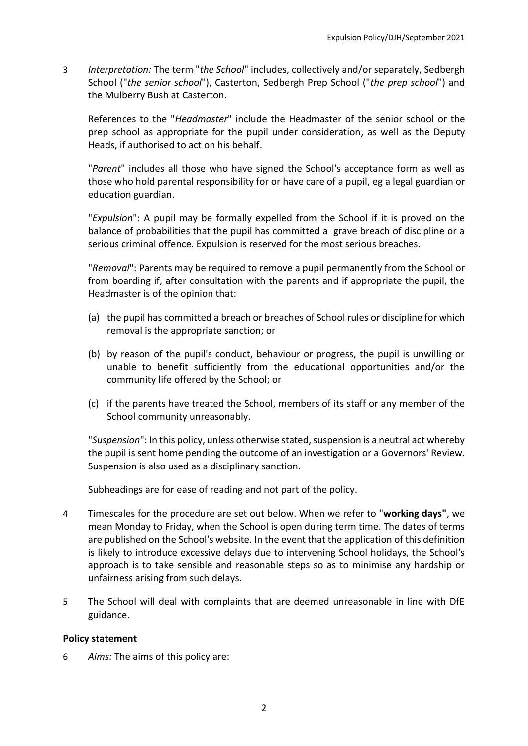3 *Interpretation:* The term "*the School*" includes, collectively and/or separately, Sedbergh School ("*the senior school*"), Casterton, Sedbergh Prep School ("*the prep school*") and the Mulberry Bush at Casterton.

References to the "*Headmaster*" include the Headmaster of the senior school or the prep school as appropriate for the pupil under consideration, as well as the Deputy Heads, if authorised to act on his behalf.

"*Parent*" includes all those who have signed the School's acceptance form as well as those who hold parental responsibility for or have care of a pupil, eg a legal guardian or education guardian.

"*Expulsion*": A pupil may be formally expelled from the School if it is proved on the balance of probabilities that the pupil has committed a grave breach of discipline or a serious criminal offence. Expulsion is reserved for the most serious breaches.

"*Removal*": Parents may be required to remove a pupil permanently from the School or from boarding if, after consultation with the parents and if appropriate the pupil, the Headmaster is of the opinion that:

- (a) the pupil has committed a breach or breaches of School rules or discipline for which removal is the appropriate sanction; or
- (b) by reason of the pupil's conduct, behaviour or progress, the pupil is unwilling or unable to benefit sufficiently from the educational opportunities and/or the community life offered by the School; or
- (c) if the parents have treated the School, members of its staff or any member of the School community unreasonably.

"*Suspension*": In this policy, unless otherwise stated, suspension is a neutral act whereby the pupil is sent home pending the outcome of an investigation or a Governors' Review. Suspension is also used as a disciplinary sanction.

Subheadings are for ease of reading and not part of the policy.

- 4 Timescales for the procedure are set out below. When we refer to "**working days"**, we mean Monday to Friday, when the School is open during term time. The dates of terms are published on the School's website. In the event that the application of this definition is likely to introduce excessive delays due to intervening School holidays, the School's approach is to take sensible and reasonable steps so as to minimise any hardship or unfairness arising from such delays.
- 5 The School will deal with complaints that are deemed unreasonable in line with DfE guidance.

### **Policy statement**

6 *Aims:* The aims of this policy are: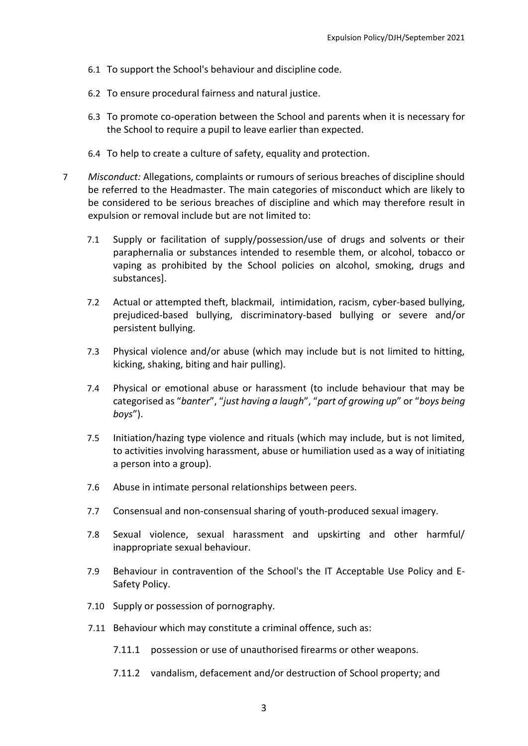- 6.1 To support the School's behaviour and discipline code.
- 6.2 To ensure procedural fairness and natural justice.
- 6.3 To promote co-operation between the School and parents when it is necessary for the School to require a pupil to leave earlier than expected.
- 6.4 To help to create a culture of safety, equality and protection.
- 7 *Misconduct:* Allegations, complaints or rumours of serious breaches of discipline should be referred to the Headmaster. The main categories of misconduct which are likely to be considered to be serious breaches of discipline and which may therefore result in expulsion or removal include but are not limited to:
	- 7.1 Supply or facilitation of supply/possession/use of drugs and solvents or their paraphernalia or substances intended to resemble them, or alcohol, tobacco or vaping as prohibited by the School policies on alcohol, smoking, drugs and substances].
	- 7.2 Actual or attempted theft, blackmail, intimidation, racism, cyber-based bullying, prejudiced-based bullying, discriminatory-based bullying or severe and/or persistent bullying.
	- 7.3 Physical violence and/or abuse (which may include but is not limited to hitting, kicking, shaking, biting and hair pulling).
	- 7.4 Physical or emotional abuse or harassment (to include behaviour that may be categorised as "*banter*", "*just having a laugh*", "*part of growing up*" or "*boys being boys*").
	- 7.5 Initiation/hazing type violence and rituals (which may include, but is not limited, to activities involving harassment, abuse or humiliation used as a way of initiating a person into a group).
	- 7.6 Abuse in intimate personal relationships between peers.
	- 7.7 Consensual and non-consensual sharing of youth-produced sexual imagery.
	- 7.8 Sexual violence, sexual harassment and upskirting and other harmful/ inappropriate sexual behaviour.
	- 7.9 Behaviour in contravention of the School's the IT Acceptable Use Policy and E-Safety Policy.
	- 7.10 Supply or possession of pornography.
	- 7.11 Behaviour which may constitute a criminal offence, such as:
		- 7.11.1 possession or use of unauthorised firearms or other weapons.
		- 7.11.2 vandalism, defacement and/or destruction of School property; and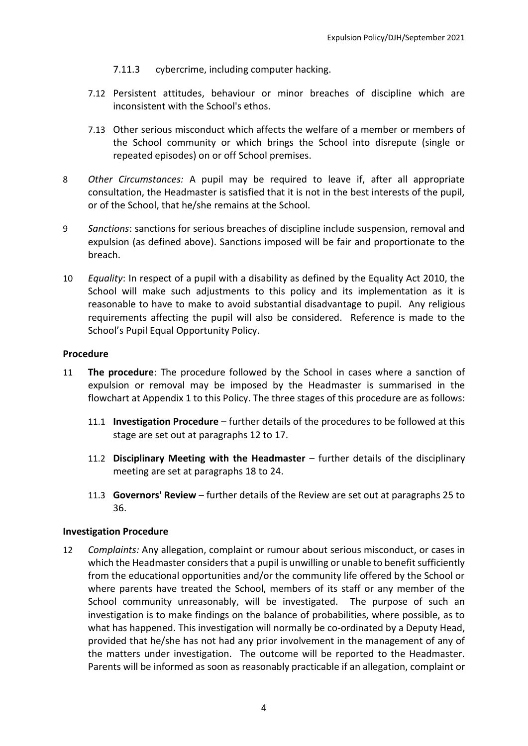- 7.11.3 cybercrime, including computer hacking.
- 7.12 Persistent attitudes, behaviour or minor breaches of discipline which are inconsistent with the School's ethos.
- 7.13 Other serious misconduct which affects the welfare of a member or members of the School community or which brings the School into disrepute (single or repeated episodes) on or off School premises.
- 8 *Other Circumstances:* A pupil may be required to leave if, after all appropriate consultation, the Headmaster is satisfied that it is not in the best interests of the pupil, or of the School, that he/she remains at the School.
- 9 *Sanctions*: sanctions for serious breaches of discipline include suspension, removal and expulsion (as defined above). Sanctions imposed will be fair and proportionate to the breach.
- 10 *Equality*: In respect of a pupil with a disability as defined by the Equality Act 2010, the School will make such adjustments to this policy and its implementation as it is reasonable to have to make to avoid substantial disadvantage to pupil. Any religious requirements affecting the pupil will also be considered. Reference is made to the School's Pupil Equal Opportunity Policy.

#### **Procedure**

- 11 **The procedure**: The procedure followed by the School in cases where a sanction of expulsion or removal may be imposed by the Headmaster is summarised in the flowchart at Appendix 1 to this Policy. The three stages of this procedure are as follows:
	- 11.1 **Investigation Procedure** further details of the procedures to be followed at this stage are set out at paragraphs [12](#page-3-0) to [17.](#page-4-0)
	- 11.2 **Disciplinary Meeting with the Headmaster** further details of the disciplinary meeting are set at paragraph[s 18](#page-5-0) t[o 24.](#page-6-0)
	- 11.3 **Governors' Review**  further details of the Review are set out at paragraphs [25](#page-7-0) to [36.](#page-10-0)

#### **Investigation Procedure**

<span id="page-3-0"></span>12 *Complaints:* Any allegation, complaint or rumour about serious misconduct, or cases in which the Headmaster considers that a pupil is unwilling or unable to benefit sufficiently from the educational opportunities and/or the community life offered by the School or where parents have treated the School, members of its staff or any member of the School community unreasonably, will be investigated. The purpose of such an investigation is to make findings on the balance of probabilities, where possible, as to what has happened. This investigation will normally be co-ordinated by a Deputy Head, provided that he/she has not had any prior involvement in the management of any of the matters under investigation. The outcome will be reported to the Headmaster. Parents will be informed as soon as reasonably practicable if an allegation, complaint or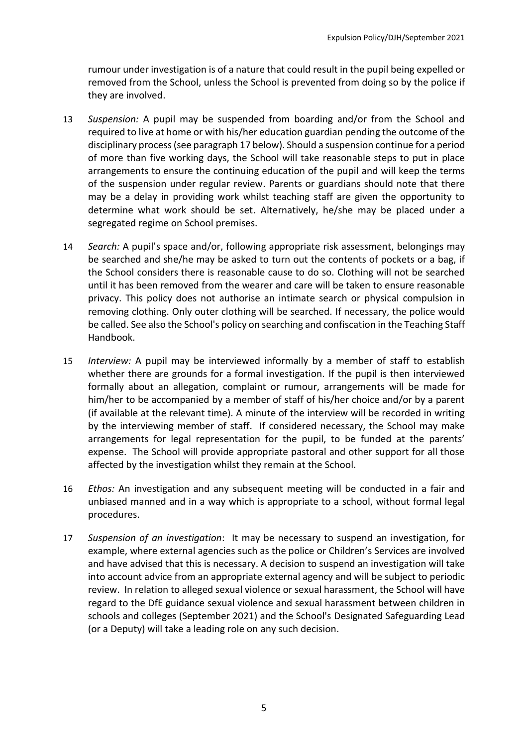rumour under investigation is of a nature that could result in the pupil being expelled or removed from the School, unless the School is prevented from doing so by the police if they are involved.

- 13 *Suspension:* A pupil may be suspended from boarding and/or from the School and required to live at home or with his/her education guardian pending the outcome of the disciplinary process (see paragrap[h 17 b](#page-4-0)elow). Should a suspension continue for a period of more than five working days, the School will take reasonable steps to put in place arrangements to ensure the continuing education of the pupil and will keep the terms of the suspension under regular review. Parents or guardians should note that there may be a delay in providing work whilst teaching staff are given the opportunity to determine what work should be set. Alternatively, he/she may be placed under a segregated regime on School premises.
- 14 *Search:* A pupil's space and/or, following appropriate risk assessment, belongings may be searched and she/he may be asked to turn out the contents of pockets or a bag, if the School considers there is reasonable cause to do so. Clothing will not be searched until it has been removed from the wearer and care will be taken to ensure reasonable privacy. This policy does not authorise an intimate search or physical compulsion in removing clothing. Only outer clothing will be searched. If necessary, the police would be called. See also the School's policy on searching and confiscation in the Teaching Staff Handbook.
- 15 *Interview:* A pupil may be interviewed informally by a member of staff to establish whether there are grounds for a formal investigation. If the pupil is then interviewed formally about an allegation, complaint or rumour, arrangements will be made for him/her to be accompanied by a member of staff of his/her choice and/or by a parent (if available at the relevant time). A minute of the interview will be recorded in writing by the interviewing member of staff. If considered necessary, the School may make arrangements for legal representation for the pupil, to be funded at the parents' expense. The School will provide appropriate pastoral and other support for all those affected by the investigation whilst they remain at the School.
- 16 *Ethos:* An investigation and any subsequent meeting will be conducted in a fair and unbiased manned and in a way which is appropriate to a school, without formal legal procedures.
- <span id="page-4-0"></span>17 *Suspension of an investigation*: It may be necessary to suspend an investigation, for example, where external agencies such as the police or Children's Services are involved and have advised that this is necessary. A decision to suspend an investigation will take into account advice from an appropriate external agency and will be subject to periodic review. In relation to alleged sexual violence or sexual harassment, the School will have regard to the DfE guidance sexual violence and sexual harassment between children in schools and colleges (September 2021) and the School's Designated Safeguarding Lead (or a Deputy) will take a leading role on any such decision.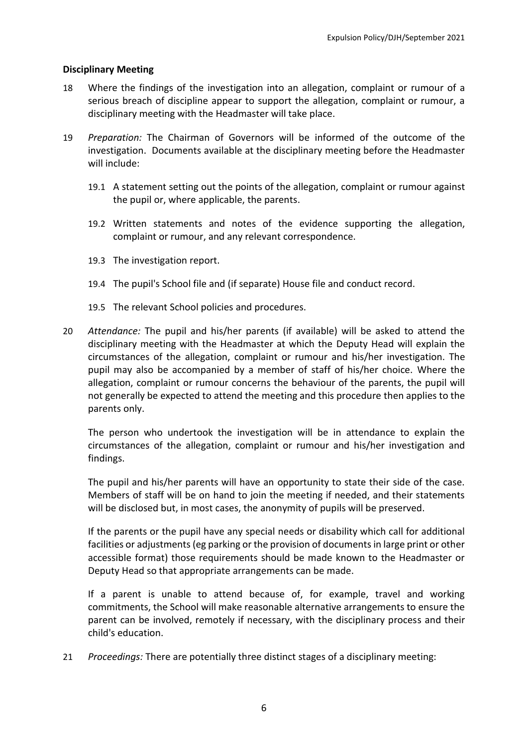#### **Disciplinary Meeting**

- <span id="page-5-0"></span>18 Where the findings of the investigation into an allegation, complaint or rumour of a serious breach of discipline appear to support the allegation, complaint or rumour, a disciplinary meeting with the Headmaster will take place.
- 19 *Preparation:* The Chairman of Governors will be informed of the outcome of the investigation. Documents available at the disciplinary meeting before the Headmaster will include:
	- 19.1 A statement setting out the points of the allegation, complaint or rumour against the pupil or, where applicable, the parents.
	- 19.2 Written statements and notes of the evidence supporting the allegation, complaint or rumour, and any relevant correspondence.
	- 19.3 The investigation report.
	- 19.4 The pupil's School file and (if separate) House file and conduct record.
	- 19.5 The relevant School policies and procedures.
- 20 *Attendance:* The pupil and his/her parents (if available) will be asked to attend the disciplinary meeting with the Headmaster at which the Deputy Head will explain the circumstances of the allegation, complaint or rumour and his/her investigation. The pupil may also be accompanied by a member of staff of his/her choice. Where the allegation, complaint or rumour concerns the behaviour of the parents, the pupil will not generally be expected to attend the meeting and this procedure then applies to the parents only.

The person who undertook the investigation will be in attendance to explain the circumstances of the allegation, complaint or rumour and his/her investigation and findings.

The pupil and his/her parents will have an opportunity to state their side of the case. Members of staff will be on hand to join the meeting if needed, and their statements will be disclosed but, in most cases, the anonymity of pupils will be preserved.

If the parents or the pupil have any special needs or disability which call for additional facilities or adjustments (eg parking or the provision of documents in large print or other accessible format) those requirements should be made known to the Headmaster or Deputy Head so that appropriate arrangements can be made.

If a parent is unable to attend because of, for example, travel and working commitments, the School will make reasonable alternative arrangements to ensure the parent can be involved, remotely if necessary, with the disciplinary process and their child's education.

21 *Proceedings:* There are potentially three distinct stages of a disciplinary meeting: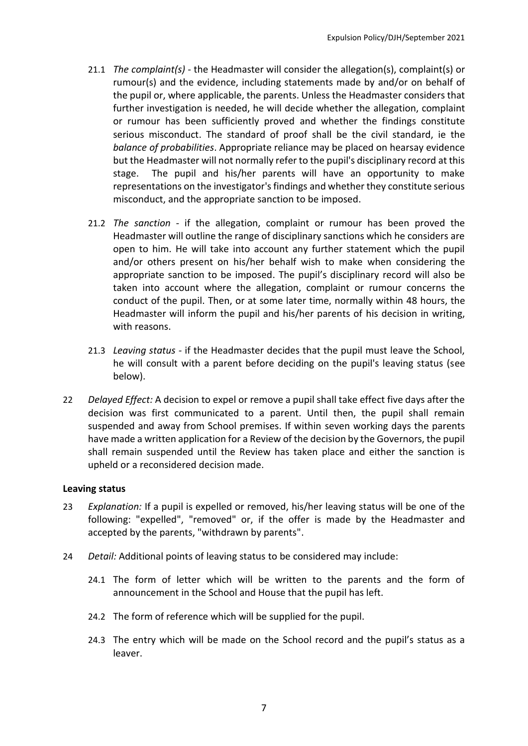- 21.1 *The complaint(s) -* the Headmaster will consider the allegation(s), complaint(s) or rumour(s) and the evidence, including statements made by and/or on behalf of the pupil or, where applicable, the parents. Unless the Headmaster considers that further investigation is needed, he will decide whether the allegation, complaint or rumour has been sufficiently proved and whether the findings constitute serious misconduct. The standard of proof shall be the civil standard, ie the *balance of probabilities*. Appropriate reliance may be placed on hearsay evidence but the Headmaster will not normally refer to the pupil's disciplinary record at this stage. The pupil and his/her parents will have an opportunity to make representations on the investigator's findings and whether they constitute serious misconduct, and the appropriate sanction to be imposed.
- 21.2 *The sanction -* if the allegation, complaint or rumour has been proved the Headmaster will outline the range of disciplinary sanctions which he considers are open to him. He will take into account any further statement which the pupil and/or others present on his/her behalf wish to make when considering the appropriate sanction to be imposed. The pupil's disciplinary record will also be taken into account where the allegation, complaint or rumour concerns the conduct of the pupil. Then, or at some later time, normally within 48 hours, the Headmaster will inform the pupil and his/her parents of his decision in writing, with reasons.
- 21.3 *Leaving status* if the Headmaster decides that the pupil must leave the School, he will consult with a parent before deciding on the pupil's leaving status (see below).
- 22 *Delayed Effect:* A decision to expel or remove a pupil shall take effect five days after the decision was first communicated to a parent. Until then, the pupil shall remain suspended and away from School premises. If within seven working days the parents have made a written application for a Review of the decision by the Governors, the pupil shall remain suspended until the Review has taken place and either the sanction is upheld or a reconsidered decision made.

#### **Leaving status**

- 23 *Explanation:* If a pupil is expelled or removed, his/her leaving status will be one of the following: "expelled", "removed" or, if the offer is made by the Headmaster and accepted by the parents, "withdrawn by parents".
- <span id="page-6-0"></span>24 *Detail:* Additional points of leaving status to be considered may include:
	- 24.1 The form of letter which will be written to the parents and the form of announcement in the School and House that the pupil has left.
	- 24.2 The form of reference which will be supplied for the pupil.
	- 24.3 The entry which will be made on the School record and the pupil's status as a leaver.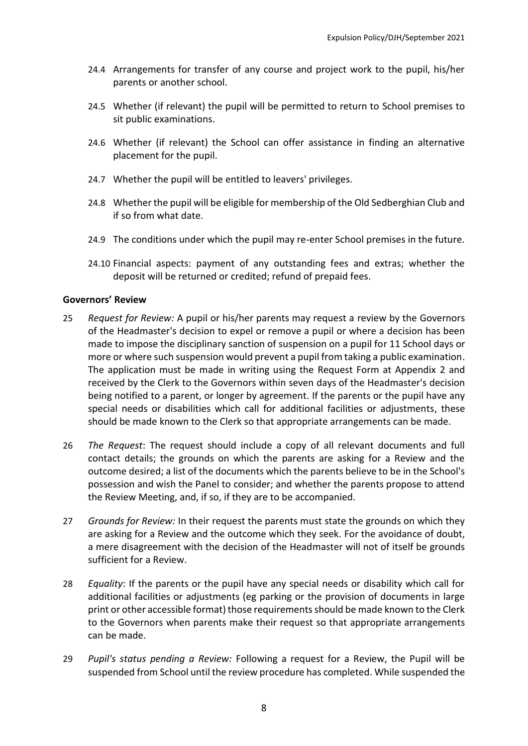- 24.4 Arrangements for transfer of any course and project work to the pupil, his/her parents or another school.
- 24.5 Whether (if relevant) the pupil will be permitted to return to School premises to sit public examinations.
- 24.6 Whether (if relevant) the School can offer assistance in finding an alternative placement for the pupil.
- 24.7 Whether the pupil will be entitled to leavers' privileges.
- 24.8 Whether the pupil will be eligible for membership of the Old Sedberghian Club and if so from what date.
- 24.9 The conditions under which the pupil may re-enter School premises in the future.
- 24.10 Financial aspects: payment of any outstanding fees and extras; whether the deposit will be returned or credited; refund of prepaid fees.

#### **Governors' Review**

- <span id="page-7-0"></span>25 *Request for Review:* A pupil or his/her parents may request a review by the Governors of the Headmaster's decision to expel or remove a pupil or where a decision has been made to impose the disciplinary sanction of suspension on a pupil for 11 School days or more or where such suspension would prevent a pupil from taking a public examination. The application must be made in writing using the Request Form at Appendix 2 and received by the Clerk to the Governors within seven days of the Headmaster's decision being notified to a parent, or longer by agreement. If the parents or the pupil have any special needs or disabilities which call for additional facilities or adjustments, these should be made known to the Clerk so that appropriate arrangements can be made.
- 26 *The Request*: The request should include a copy of all relevant documents and full contact details; the grounds on which the parents are asking for a Review and the outcome desired; a list of the documents which the parents believe to be in the School's possession and wish the Panel to consider; and whether the parents propose to attend the Review Meeting, and, if so, if they are to be accompanied.
- 27 *Grounds for Review:* In their request the parents must state the grounds on which they are asking for a Review and the outcome which they seek. For the avoidance of doubt, a mere disagreement with the decision of the Headmaster will not of itself be grounds sufficient for a Review.
- 28 *Equality*: If the parents or the pupil have any special needs or disability which call for additional facilities or adjustments (eg parking or the provision of documents in large print or other accessible format) those requirements should be made known to the Clerk to the Governors when parents make their request so that appropriate arrangements can be made.
- 29 *Pupil's status pending a Review:* Following a request for a Review, the Pupil will be suspended from School until the review procedure has completed. While suspended the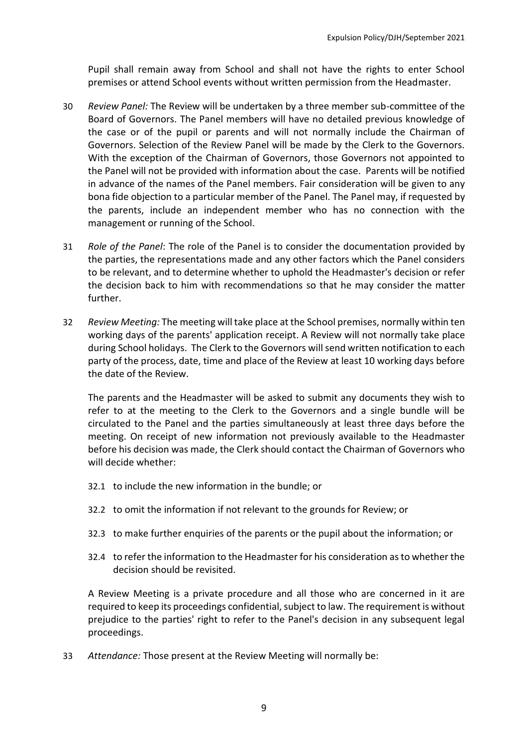Pupil shall remain away from School and shall not have the rights to enter School premises or attend School events without written permission from the Headmaster.

- 30 *Review Panel:* The Review will be undertaken by a three member sub-committee of the Board of Governors. The Panel members will have no detailed previous knowledge of the case or of the pupil or parents and will not normally include the Chairman of Governors. Selection of the Review Panel will be made by the Clerk to the Governors. With the exception of the Chairman of Governors, those Governors not appointed to the Panel will not be provided with information about the case. Parents will be notified in advance of the names of the Panel members. Fair consideration will be given to any bona fide objection to a particular member of the Panel. The Panel may, if requested by the parents, include an independent member who has no connection with the management or running of the School.
- 31 *Role of the Panel*: The role of the Panel is to consider the documentation provided by the parties, the representations made and any other factors which the Panel considers to be relevant, and to determine whether to uphold the Headmaster's decision or refer the decision back to him with recommendations so that he may consider the matter further.
- 32 *Review Meeting:* The meeting will take place at the School premises, normally within ten working days of the parents' application receipt. A Review will not normally take place during School holidays. The Clerk to the Governors will send written notification to each party of the process, date, time and place of the Review at least 10 working days before the date of the Review.

The parents and the Headmaster will be asked to submit any documents they wish to refer to at the meeting to the Clerk to the Governors and a single bundle will be circulated to the Panel and the parties simultaneously at least three days before the meeting. On receipt of new information not previously available to the Headmaster before his decision was made, the Clerk should contact the Chairman of Governors who will decide whether:

- 32.1 to include the new information in the bundle; or
- 32.2 to omit the information if not relevant to the grounds for Review; or
- 32.3 to make further enquiries of the parents or the pupil about the information; or
- 32.4 to refer the information to the Headmaster for his consideration as to whether the decision should be revisited.

A Review Meeting is a private procedure and all those who are concerned in it are required to keep its proceedings confidential, subject to law. The requirement is without prejudice to the parties' right to refer to the Panel's decision in any subsequent legal proceedings.

33 *Attendance:* Those present at the Review Meeting will normally be: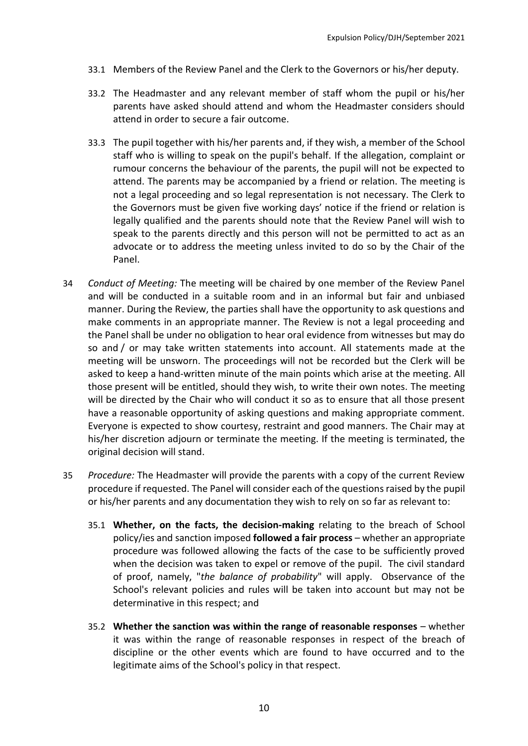- 33.1 Members of the Review Panel and the Clerk to the Governors or his/her deputy.
- 33.2 The Headmaster and any relevant member of staff whom the pupil or his/her parents have asked should attend and whom the Headmaster considers should attend in order to secure a fair outcome.
- 33.3 The pupil together with his/her parents and, if they wish, a member of the School staff who is willing to speak on the pupil's behalf. If the allegation, complaint or rumour concerns the behaviour of the parents, the pupil will not be expected to attend. The parents may be accompanied by a friend or relation. The meeting is not a legal proceeding and so legal representation is not necessary. The Clerk to the Governors must be given five working days' notice if the friend or relation is legally qualified and the parents should note that the Review Panel will wish to speak to the parents directly and this person will not be permitted to act as an advocate or to address the meeting unless invited to do so by the Chair of the Panel.
- 34 *Conduct of Meeting:* The meeting will be chaired by one member of the Review Panel and will be conducted in a suitable room and in an informal but fair and unbiased manner. During the Review, the parties shall have the opportunity to ask questions and make comments in an appropriate manner. The Review is not a legal proceeding and the Panel shall be under no obligation to hear oral evidence from witnesses but may do so and / or may take written statements into account. All statements made at the meeting will be unsworn. The proceedings will not be recorded but the Clerk will be asked to keep a hand-written minute of the main points which arise at the meeting. All those present will be entitled, should they wish, to write their own notes. The meeting will be directed by the Chair who will conduct it so as to ensure that all those present have a reasonable opportunity of asking questions and making appropriate comment. Everyone is expected to show courtesy, restraint and good manners. The Chair may at his/her discretion adjourn or terminate the meeting. If the meeting is terminated, the original decision will stand.
- 35 *Procedure:* The Headmaster will provide the parents with a copy of the current Review procedure if requested. The Panel will consider each of the questions raised by the pupil or his/her parents and any documentation they wish to rely on so far as relevant to:
	- 35.1 **Whether, on the facts, the decision-making** relating to the breach of School policy/ies and sanction imposed **followed a fair process** – whether an appropriate procedure was followed allowing the facts of the case to be sufficiently proved when the decision was taken to expel or remove of the pupil. The civil standard of proof, namely, "*the balance of probability*" will apply. Observance of the School's relevant policies and rules will be taken into account but may not be determinative in this respect; and
	- 35.2 **Whether the sanction was within the range of reasonable responses** whether it was within the range of reasonable responses in respect of the breach of discipline or the other events which are found to have occurred and to the legitimate aims of the School's policy in that respect.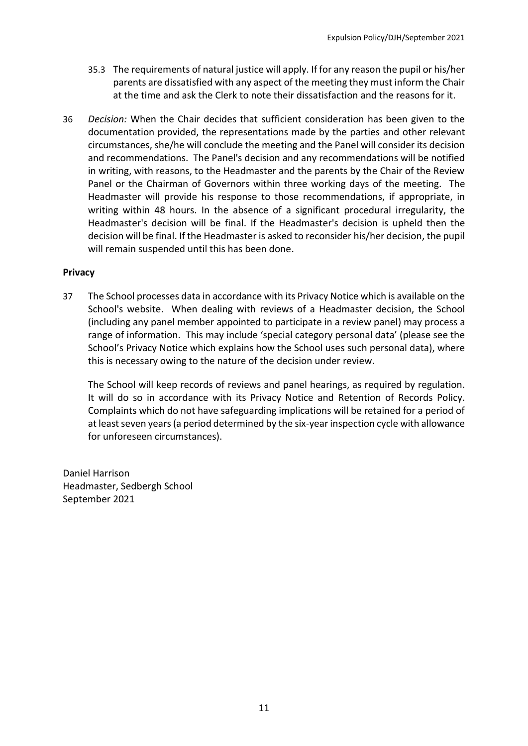- 35.3 The requirements of natural justice will apply. If for any reason the pupil or his/her parents are dissatisfied with any aspect of the meeting they must inform the Chair at the time and ask the Clerk to note their dissatisfaction and the reasons for it.
- <span id="page-10-0"></span>36 *Decision:* When the Chair decides that sufficient consideration has been given to the documentation provided, the representations made by the parties and other relevant circumstances, she/he will conclude the meeting and the Panel will consider its decision and recommendations. The Panel's decision and any recommendations will be notified in writing, with reasons, to the Headmaster and the parents by the Chair of the Review Panel or the Chairman of Governors within three working days of the meeting. The Headmaster will provide his response to those recommendations, if appropriate, in writing within 48 hours. In the absence of a significant procedural irregularity, the Headmaster's decision will be final. If the Headmaster's decision is upheld then the decision will be final. If the Headmaster is asked to reconsider his/her decision, the pupil will remain suspended until this has been done.

#### **Privacy**

37 The School processes data in accordance with its Privacy Notice which is available on the School's website. When dealing with reviews of a Headmaster decision, the School (including any panel member appointed to participate in a review panel) may process a range of information. This may include 'special category personal data' (please see the School's Privacy Notice which explains how the School uses such personal data), where this is necessary owing to the nature of the decision under review.

The School will keep records of reviews and panel hearings, as required by regulation. It will do so in accordance with its Privacy Notice and Retention of Records Policy. Complaints which do not have safeguarding implications will be retained for a period of at least seven years (a period determined by the six-year inspection cycle with allowance for unforeseen circumstances).

Daniel Harrison Headmaster, Sedbergh School September 2021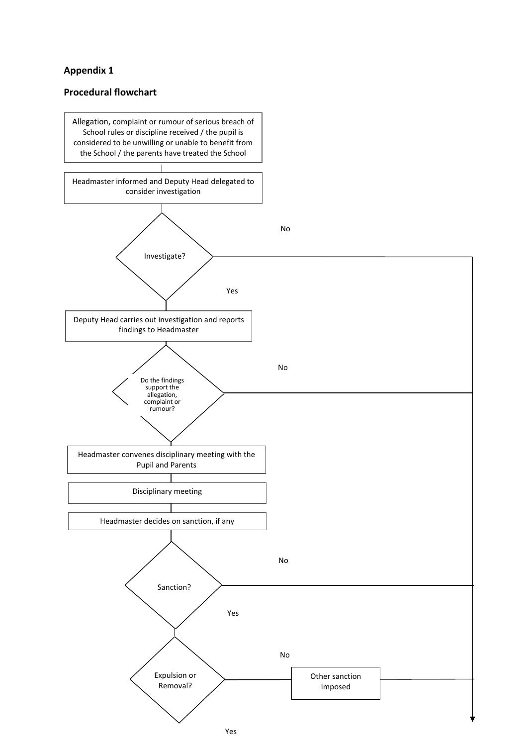### **Appendix 1**

#### **Procedural flowchart**

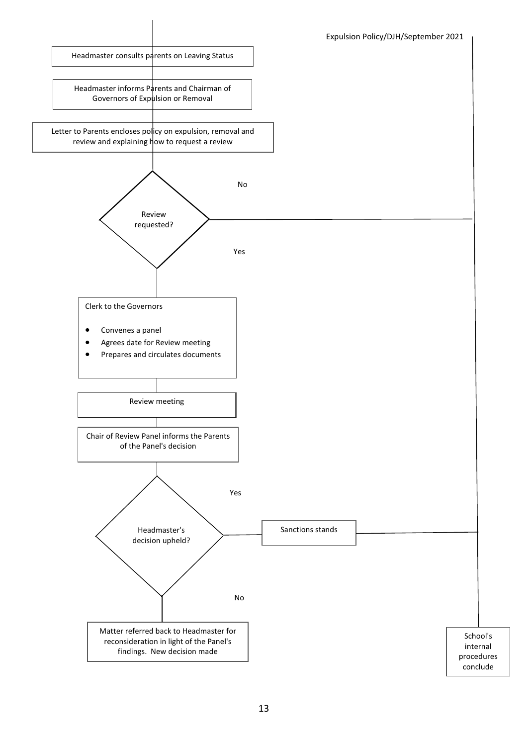